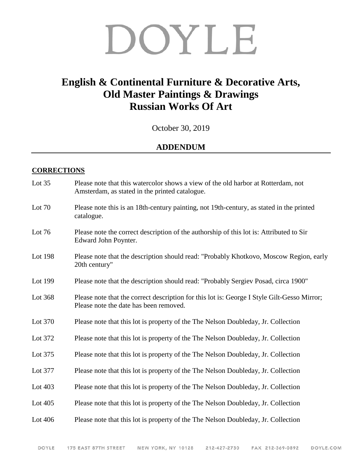## DOYLE

## **English & Continental Furniture & Decorative Arts, Old Master Paintings & Drawings Russian Works Of Art**

October 30, 2019

## **ADDENDUM**

## **CORRECTIONS**

| Lot $35$  | Please note that this watercolor shows a view of the old harbor at Rotterdam, not<br>Amsterdam, as stated in the printed catalogue.   |
|-----------|---------------------------------------------------------------------------------------------------------------------------------------|
| Lot 70    | Please note this is an 18th-century painting, not 19th-century, as stated in the printed<br>catalogue.                                |
| Lot 76    | Please note the correct description of the authorship of this lot is: Attributed to Sir<br>Edward John Poynter.                       |
| Lot 198   | Please note that the description should read: "Probably Khotkovo, Moscow Region, early<br>20th century"                               |
| Lot 199   | Please note that the description should read: "Probably Sergiev Posad, circa 1900"                                                    |
| Lot 368   | Please note that the correct description for this lot is: George I Style Gilt-Gesso Mirror;<br>Please note the date has been removed. |
| Lot 370   | Please note that this lot is property of the The Nelson Doubleday, Jr. Collection                                                     |
| Lot 372   | Please note that this lot is property of the The Nelson Doubleday, Jr. Collection                                                     |
| Lot 375   | Please note that this lot is property of the The Nelson Doubleday, Jr. Collection                                                     |
| Lot 377   | Please note that this lot is property of the The Nelson Doubleday, Jr. Collection                                                     |
| Lot 403   | Please note that this lot is property of the The Nelson Doubleday, Jr. Collection                                                     |
| Lot $405$ | Please note that this lot is property of the The Nelson Doubleday, Jr. Collection                                                     |
| Lot 406   | Please note that this lot is property of the The Nelson Doubleday, Jr. Collection                                                     |